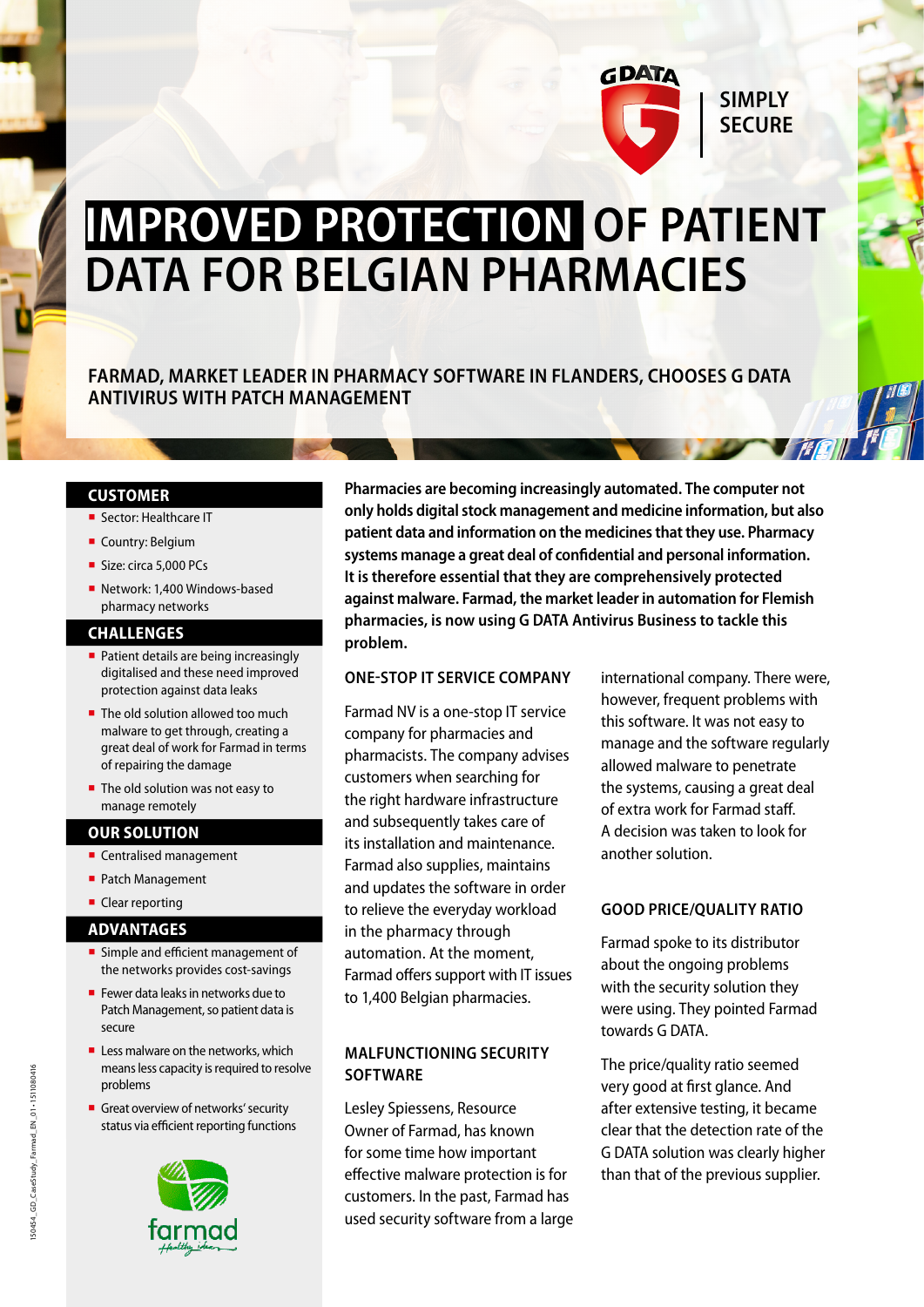

# **IMPROVED PROTECTION OF PATIENT DATA FOR BELGIAN PHARMACIES**

**FARMAD, MARKET LEADER IN PHARMACY SOFTWARE IN FLANDERS, CHOOSES G DATA ANTIVIRUS WITH PATCH MANAGEMENT**

### **CUSTOMER**

- Sector: Healthcare IT
- Country: Belgium
- Size: circa 5,000 PCs
- Network: 1.400 Windows-based pharmacy networks

#### **CHALLENGES**

- Patient details are being increasingly digitalised and these need improved protection against data leaks
- $\blacksquare$  The old solution allowed too much malware to get through, creating a great deal of work for Farmad in terms of repairing the damage
- The old solution was not easy to manage remotely

### **OUR SOLUTION**

- Centralised management
- Patch Management
- Clear reporting

# **ADVANTAGES**

- **E** Simple and efficient management of the networks provides cost-savings
- Fewer data leaks in networks due to Patch Management, so patient data is secure
- $\blacksquare$  Less malware on the networks, which means less capacity is required to resolve problems
- **Great overview of networks' security** status via efficient reporting functions



**Pharmacies are becoming increasingly automated. The computer not only holds digital stock management and medicine information, but also patient data and information on the medicines that they use. Pharmacy systems manage a great deal of confidential and personal information. It is therefore essential that they are comprehensively protected against malware. Farmad, the market leader in automation for Flemish pharmacies, is now using G DATA Antivirus Business to tackle this problem.**

### **ONE-STOP IT SERVICE COMPANY**

Farmad NV is a one-stop IT service company for pharmacies and pharmacists. The company advises customers when searching for the right hardware infrastructure and subsequently takes care of its installation and maintenance. Farmad also supplies, maintains and updates the software in order to relieve the everyday workload in the pharmacy through automation. At the moment, Farmad offers support with IT issues to 1,400 Belgian pharmacies.

# **MALFUNCTIONING SECURITY SOFTWARE**

Lesley Spiessens, Resource Owner of Farmad, has known for some time how important effective malware protection is for customers. In the past, Farmad has used security software from a large international company. There were, however, frequent problems with this software. It was not easy to manage and the software regularly allowed malware to penetrate the systems, causing a great deal of extra work for Farmad staff. A decision was taken to look for another solution.

# **GOOD PRICE/QUALITY RATIO**

Farmad spoke to its distributor about the ongoing problems with the security solution they were using. They pointed Farmad towards G DATA.

The price/quality ratio seemed very good at first glance. And after extensive testing, it became clear that the detection rate of the G DATA solution was clearly higher than that of the previous supplier.